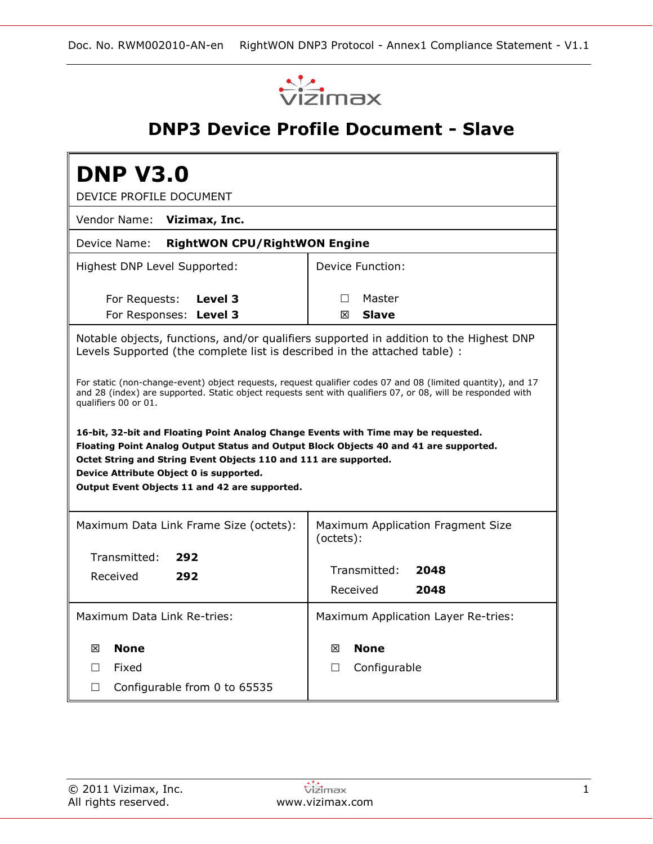

# **DNP3 Device Profile Document - Slave**

| <b>DNP V3.0</b><br>DEVICE PROFILE DOCUMENT                                                                                                                                                                                                                                                                                                  |                                                |  |  |  |  |  |  |  |  |
|---------------------------------------------------------------------------------------------------------------------------------------------------------------------------------------------------------------------------------------------------------------------------------------------------------------------------------------------|------------------------------------------------|--|--|--|--|--|--|--|--|
| Vendor Name:<br>Vizimax, Inc.                                                                                                                                                                                                                                                                                                               |                                                |  |  |  |  |  |  |  |  |
| <b>RightWON CPU/RightWON Engine</b><br>Device Name:                                                                                                                                                                                                                                                                                         |                                                |  |  |  |  |  |  |  |  |
| Highest DNP Level Supported:                                                                                                                                                                                                                                                                                                                | Device Function:                               |  |  |  |  |  |  |  |  |
| For Requests:<br>Level 3<br>For Responses: Level 3                                                                                                                                                                                                                                                                                          | Master<br>$\Box$<br><b>Slave</b><br>冈          |  |  |  |  |  |  |  |  |
| Notable objects, functions, and/or qualifiers supported in addition to the Highest DNP<br>Levels Supported (the complete list is described in the attached table) :                                                                                                                                                                         |                                                |  |  |  |  |  |  |  |  |
| For static (non-change-event) object requests, request qualifier codes 07 and 08 (limited quantity), and 17<br>and 28 (index) are supported. Static object requests sent with qualifiers 07, or 08, will be responded with<br>qualifiers 00 or 01.                                                                                          |                                                |  |  |  |  |  |  |  |  |
| 16-bit, 32-bit and Floating Point Analog Change Events with Time may be requested.<br>Floating Point Analog Output Status and Output Block Objects 40 and 41 are supported.<br>Octet String and String Event Objects 110 and 111 are supported.<br>Device Attribute Object 0 is supported.<br>Output Event Objects 11 and 42 are supported. |                                                |  |  |  |  |  |  |  |  |
| Maximum Data Link Frame Size (octets):                                                                                                                                                                                                                                                                                                      | Maximum Application Fragment Size<br>(octets): |  |  |  |  |  |  |  |  |
| Transmitted:<br>292<br>Received<br>292                                                                                                                                                                                                                                                                                                      | Transmitted:<br>2048<br>Received<br>2048       |  |  |  |  |  |  |  |  |
| Maximum Data Link Re-tries:                                                                                                                                                                                                                                                                                                                 | Maximum Application Layer Re-tries:            |  |  |  |  |  |  |  |  |
| <b>None</b><br>冈<br>Fixed<br>П<br>Configurable from 0 to 65535<br>$\Box$                                                                                                                                                                                                                                                                    | <b>None</b><br>冈<br>Configurable<br>П          |  |  |  |  |  |  |  |  |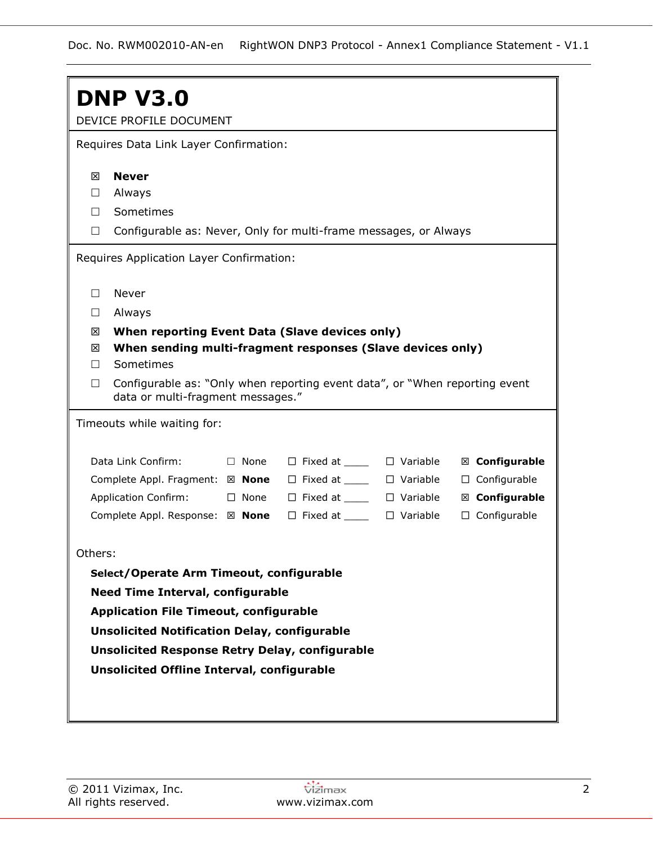|             | <b>DNP V3.0</b>                                                                                                   |             |                                        |  |                     |  |  |  |  |  |  |
|-------------|-------------------------------------------------------------------------------------------------------------------|-------------|----------------------------------------|--|---------------------|--|--|--|--|--|--|
|             | DEVICE PROFILE DOCUMENT                                                                                           |             |                                        |  |                     |  |  |  |  |  |  |
|             | Requires Data Link Layer Confirmation:                                                                            |             |                                        |  |                     |  |  |  |  |  |  |
| ⊠           | <b>Never</b>                                                                                                      |             |                                        |  |                     |  |  |  |  |  |  |
| $\Box$      | Always                                                                                                            |             |                                        |  |                     |  |  |  |  |  |  |
| П.          | Sometimes                                                                                                         |             |                                        |  |                     |  |  |  |  |  |  |
| $\Box$      | Configurable as: Never, Only for multi-frame messages, or Always                                                  |             |                                        |  |                     |  |  |  |  |  |  |
|             | Requires Application Layer Confirmation:                                                                          |             |                                        |  |                     |  |  |  |  |  |  |
| $\Box$      | Never                                                                                                             |             |                                        |  |                     |  |  |  |  |  |  |
| $\Box$      | Always                                                                                                            |             |                                        |  |                     |  |  |  |  |  |  |
| 図           | When reporting Event Data (Slave devices only)                                                                    |             |                                        |  |                     |  |  |  |  |  |  |
| ⊠<br>$\Box$ | When sending multi-fragment responses (Slave devices only)<br>Sometimes                                           |             |                                        |  |                     |  |  |  |  |  |  |
| $\Box$      | Configurable as: "Only when reporting event data", or "When reporting event"<br>data or multi-fragment messages." |             |                                        |  |                     |  |  |  |  |  |  |
|             | Timeouts while waiting for:                                                                                       |             |                                        |  |                     |  |  |  |  |  |  |
|             | Data Link Confirm:                                                                                                | $\Box$ None | $\Box$ Fixed at ______ $\Box$ Variable |  | ⊠ Configurable      |  |  |  |  |  |  |
|             | Complete Appl. Fragment: ⊠ None                                                                                   |             | $\Box$ Fixed at $\Box$ $\Box$ Variable |  | $\Box$ Configurable |  |  |  |  |  |  |
|             | <b>Application Confirm:</b>                                                                                       | $\Box$ None | $\Box$ Fixed at $\Box$ $\Box$ Variable |  | ⊠ Configurable      |  |  |  |  |  |  |
|             | Complete Appl. Response: ⊠ None                                                                                   |             | $\Box$ Fixed at ______ $\Box$ Variable |  | $\Box$ Configurable |  |  |  |  |  |  |
| Others:     |                                                                                                                   |             |                                        |  |                     |  |  |  |  |  |  |
|             | Select/Operate Arm Timeout, configurable                                                                          |             |                                        |  |                     |  |  |  |  |  |  |
|             | <b>Need Time Interval, configurable</b>                                                                           |             |                                        |  |                     |  |  |  |  |  |  |
|             | <b>Application File Timeout, configurable</b>                                                                     |             |                                        |  |                     |  |  |  |  |  |  |
|             | <b>Unsolicited Notification Delay, configurable</b>                                                               |             |                                        |  |                     |  |  |  |  |  |  |
|             | <b>Unsolicited Response Retry Delay, configurable</b>                                                             |             |                                        |  |                     |  |  |  |  |  |  |
|             | <b>Unsolicited Offline Interval, configurable</b>                                                                 |             |                                        |  |                     |  |  |  |  |  |  |
|             |                                                                                                                   |             |                                        |  |                     |  |  |  |  |  |  |
|             |                                                                                                                   |             |                                        |  |                     |  |  |  |  |  |  |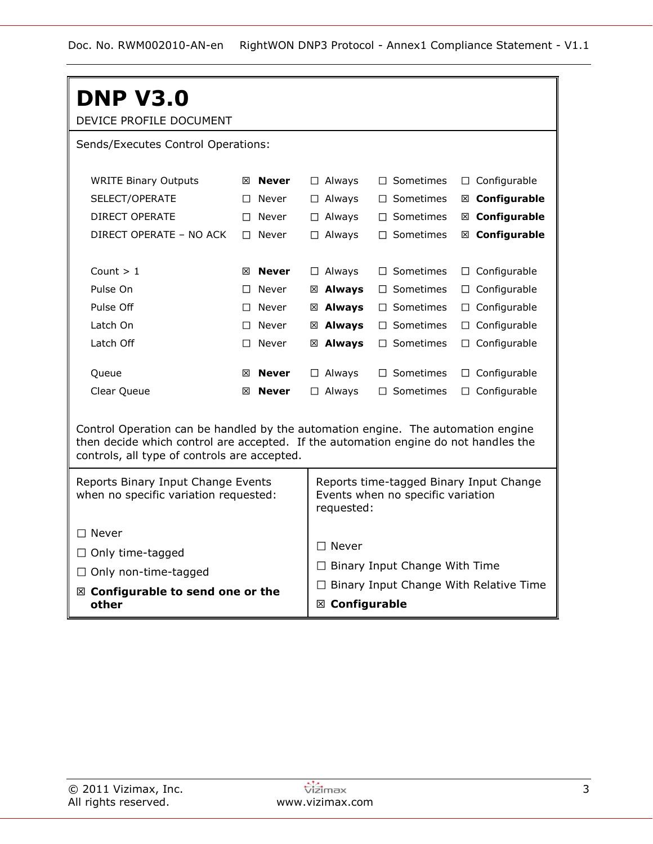| <b>DNP V3.0</b>                                                                                                                                                                                                         |    |                   |  |                                                                                            |                                      |                                               |  |  |  |  |
|-------------------------------------------------------------------------------------------------------------------------------------------------------------------------------------------------------------------------|----|-------------------|--|--------------------------------------------------------------------------------------------|--------------------------------------|-----------------------------------------------|--|--|--|--|
| DEVICE PROFILE DOCUMENT                                                                                                                                                                                                 |    |                   |  |                                                                                            |                                      |                                               |  |  |  |  |
| Sends/Executes Control Operations:                                                                                                                                                                                      |    |                   |  |                                                                                            |                                      |                                               |  |  |  |  |
|                                                                                                                                                                                                                         |    |                   |  |                                                                                            |                                      |                                               |  |  |  |  |
| <b>WRITE Binary Outputs</b>                                                                                                                                                                                             |    | $\boxtimes$ Never |  | $\Box$ Always                                                                              | $\Box$ Sometimes                     | $\Box$ Configurable                           |  |  |  |  |
| SELECT/OPERATE                                                                                                                                                                                                          | П. | Never             |  | $\Box$ Always                                                                              | $\Box$ Sometimes                     | ⊠ Configurable                                |  |  |  |  |
| DIRECT OPERATE                                                                                                                                                                                                          |    | $\Box$ Never      |  | $\Box$ Always                                                                              | $\Box$ Sometimes                     | ⊠ Configurable                                |  |  |  |  |
| DIRECT OPERATE - NO ACK                                                                                                                                                                                                 |    | $\Box$ Never      |  | $\Box$ Always                                                                              | $\Box$ Sometimes                     | ⊠ Configurable                                |  |  |  |  |
|                                                                                                                                                                                                                         |    |                   |  |                                                                                            |                                      |                                               |  |  |  |  |
| Count $> 1$                                                                                                                                                                                                             |    | $\boxtimes$ Never |  | $\Box$ Always                                                                              | $\Box$ Sometimes                     | $\Box$ Configurable                           |  |  |  |  |
| Pulse On                                                                                                                                                                                                                | П  | Never             |  | ⊠ Always                                                                                   | $\Box$ Sometimes                     | $\Box$ Configurable                           |  |  |  |  |
| Pulse Off                                                                                                                                                                                                               | П  | Never             |  | ⊠ Always                                                                                   | $\Box$ Sometimes                     | $\Box$ Configurable                           |  |  |  |  |
| Latch On                                                                                                                                                                                                                |    | $\Box$ Never      |  | ⊠ Always                                                                                   | $\Box$ Sometimes                     | $\Box$ Configurable                           |  |  |  |  |
| Latch Off                                                                                                                                                                                                               |    | $\Box$ Never      |  | ⊠ Always                                                                                   | $\Box$ Sometimes                     | $\Box$ Configurable                           |  |  |  |  |
| Queue                                                                                                                                                                                                                   |    | $\boxtimes$ Never |  | $\Box$ Always                                                                              | $\Box$ Sometimes                     | $\Box$ Configurable                           |  |  |  |  |
| Clear Queue                                                                                                                                                                                                             | ⊠  | <b>Never</b>      |  | $\Box$ Sometimes<br>$\Box$ Configurable<br>$\Box$ Always                                   |                                      |                                               |  |  |  |  |
| Control Operation can be handled by the automation engine. The automation engine<br>then decide which control are accepted. If the automation engine do not handles the<br>controls, all type of controls are accepted. |    |                   |  |                                                                                            |                                      |                                               |  |  |  |  |
| Reports Binary Input Change Events<br>when no specific variation requested:                                                                                                                                             |    |                   |  | Reports time-tagged Binary Input Change<br>Events when no specific variation<br>requested: |                                      |                                               |  |  |  |  |
| $\Box$ Never                                                                                                                                                                                                            |    |                   |  |                                                                                            |                                      |                                               |  |  |  |  |
| $\Box$ Only time-tagged                                                                                                                                                                                                 |    |                   |  | $\Box$ Never                                                                               |                                      |                                               |  |  |  |  |
| $\Box$ Only non-time-tagged                                                                                                                                                                                             |    |                   |  |                                                                                            | $\Box$ Binary Input Change With Time |                                               |  |  |  |  |
| $\boxtimes$ Configurable to send one or the                                                                                                                                                                             |    |                   |  |                                                                                            |                                      | $\Box$ Binary Input Change With Relative Time |  |  |  |  |
| other                                                                                                                                                                                                                   |    |                   |  | ⊠ Configurable                                                                             |                                      |                                               |  |  |  |  |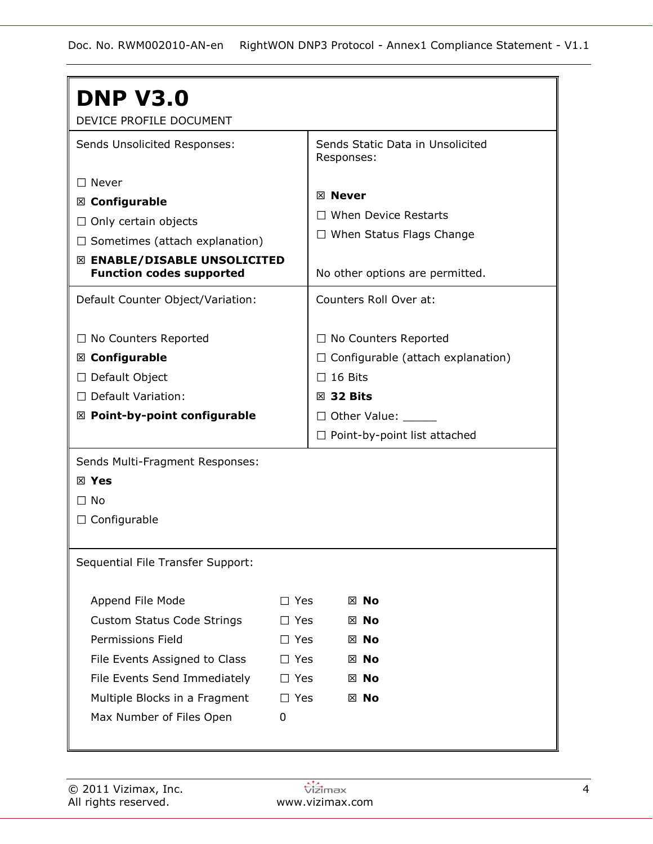| <b>DNP V3.0</b>                         |            |                                     |                                  |                                          |  |  |  |
|-----------------------------------------|------------|-------------------------------------|----------------------------------|------------------------------------------|--|--|--|
| DEVICE PROFILE DOCUMENT                 |            |                                     |                                  |                                          |  |  |  |
| Sends Unsolicited Responses:            |            |                                     | Sends Static Data in Unsolicited |                                          |  |  |  |
|                                         |            | Responses:                          |                                  |                                          |  |  |  |
| $\Box$ Never                            |            |                                     |                                  |                                          |  |  |  |
| ⊠ Configurable                          |            | ⊠ Never                             |                                  |                                          |  |  |  |
| $\Box$ Only certain objects             |            |                                     |                                  | <b>When Device Restarts</b>              |  |  |  |
| $\Box$ Sometimes (attach explanation)   |            |                                     |                                  | $\Box$ When Status Flags Change          |  |  |  |
| ⊠ ENABLE/DISABLE UNSOLICITED            |            |                                     |                                  |                                          |  |  |  |
| <b>Function codes supported</b>         |            |                                     |                                  | No other options are permitted.          |  |  |  |
| Default Counter Object/Variation:       |            |                                     | Counters Roll Over at:           |                                          |  |  |  |
|                                         |            |                                     |                                  |                                          |  |  |  |
| $\Box$ No Counters Reported             |            |                                     |                                  | $\Box$ No Counters Reported              |  |  |  |
| $\boxtimes$ Configurable                |            |                                     |                                  | $\Box$ Configurable (attach explanation) |  |  |  |
| □ Default Object                        |            | $\Box$ 16 Bits                      |                                  |                                          |  |  |  |
| $\Box$ Default Variation:               |            | $\boxtimes$ 32 Bits                 |                                  |                                          |  |  |  |
| $\boxtimes$ Point-by-point configurable |            | □ Other Value: ______               |                                  |                                          |  |  |  |
|                                         |            | $\Box$ Point-by-point list attached |                                  |                                          |  |  |  |
| Sends Multi-Fragment Responses:         |            |                                     |                                  |                                          |  |  |  |
| $\boxtimes$ Yes                         |            |                                     |                                  |                                          |  |  |  |
| $\Box$ No                               |            |                                     |                                  |                                          |  |  |  |
| $\Box$ Configurable                     |            |                                     |                                  |                                          |  |  |  |
|                                         |            |                                     |                                  |                                          |  |  |  |
| Sequential File Transfer Support:       |            |                                     |                                  |                                          |  |  |  |
|                                         |            |                                     |                                  |                                          |  |  |  |
| Append File Mode                        | $\Box$ Yes |                                     | ⊠ No                             |                                          |  |  |  |
| <b>Custom Status Code Strings</b>       | $\Box$ Yes |                                     | $\boxtimes$ No                   |                                          |  |  |  |
| <b>Permissions Field</b>                | $\Box$ Yes |                                     | ⊠ No                             |                                          |  |  |  |
| File Events Assigned to Class           | $\Box$ Yes |                                     | $\boxtimes$ No                   |                                          |  |  |  |
| File Events Send Immediately            | $\Box$ Yes |                                     | ⊠ No                             |                                          |  |  |  |
| Multiple Blocks in a Fragment           | $\Box$ Yes |                                     | ⊠ No                             |                                          |  |  |  |
| Max Number of Files Open                | 0          |                                     |                                  |                                          |  |  |  |
|                                         |            |                                     |                                  |                                          |  |  |  |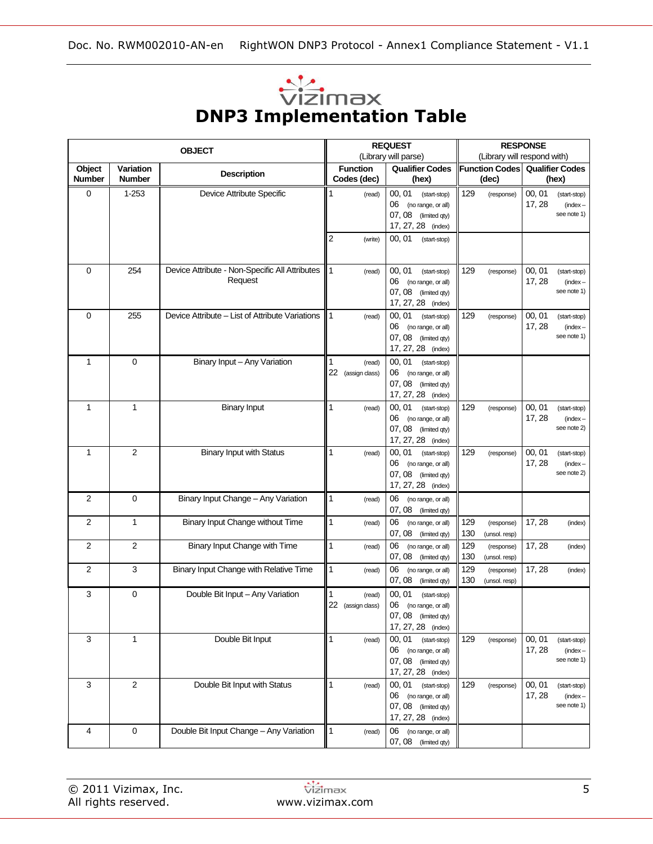| $\sim$                           |  |
|----------------------------------|--|
| <b>VIZIMAX</b>                   |  |
| <b>DNP3 Implementation Table</b> |  |

|                         |                            | <b>OBJECT</b>                                             |                         |                                | <b>REQUEST</b>                                                                                     |            | <b>RESPONSE</b><br>(Library will respond with) |                  |                                           |  |
|-------------------------|----------------------------|-----------------------------------------------------------|-------------------------|--------------------------------|----------------------------------------------------------------------------------------------------|------------|------------------------------------------------|------------------|-------------------------------------------|--|
| Object<br><b>Number</b> | Variation<br><b>Number</b> | <b>Description</b>                                        |                         | <b>Function</b><br>Codes (dec) | (Library will parse)<br><b>Qualifier Codes</b><br>(hex)                                            |            | <b>Function Codes</b><br>(dec)                 |                  | <b>Qualifier Codes</b><br>(hex)           |  |
| 0                       | $1 - 253$                  | Device Attribute Specific                                 | 1                       | (read)                         | 00, 01<br>(start-stop)<br>(no range, or all)<br>06<br>07, 08 (limited qty)<br>17, 27, 28 (index)   | 129        | (response)                                     | 00, 01<br>17, 28 | (start-stop)<br>$(index -$<br>see note 1) |  |
|                         |                            |                                                           | $\overline{\mathbf{c}}$ | (write)                        | 00, 01<br>(start-stop)                                                                             |            |                                                |                  |                                           |  |
| 0                       | 254                        | Device Attribute - Non-Specific All Attributes<br>Request | $\mathbf{1}$            | (read)                         | 00, 01<br>(start-stop)<br>06<br>(no range, or all)<br>07, 08 (limited qty)<br>17, 27, 28 (index)   | 129        | (response)                                     | 00, 01<br>17, 28 | (start-stop)<br>$(index -$<br>see note 1) |  |
| 0                       | 255                        | Device Attribute – List of Attribute Variations           | 1                       | (read)                         | 00, 01<br>(start-stop)<br>06<br>(no range, or all)<br>07,08<br>(limited qty)<br>17, 27, 28 (index) | 129        | (response)                                     | 00, 01<br>17, 28 | (start-stop)<br>$(index -$<br>see note 1) |  |
| 1                       | 0                          | Binary Input - Any Variation                              | 1<br>22                 | (read)<br>(assign class)       | 00, 01<br>(start-stop)<br>06 (no range, or all)<br>07, 08<br>(limited qty)<br>17, 27, 28 (index)   |            |                                                |                  |                                           |  |
| $\mathbf{1}$            | 1                          | <b>Binary Input</b>                                       | 1                       | (read)                         | 00, 01<br>(start-stop)<br>06<br>(no range, or all)<br>07, 08 (limited qty)<br>17, 27, 28 (index)   | 129        | (response)                                     | 00, 01<br>17, 28 | (start-stop)<br>$(index -$<br>see note 2) |  |
| 1                       | $\overline{2}$             | <b>Binary Input with Status</b>                           | 1                       | (read)                         | 00, 01<br>(start-stop)<br>06<br>(no range, or all)<br>07, 08 (limited qty)<br>17, 27, 28 (index)   | 129        | (response)                                     | 00, 01<br>17, 28 | (start-stop)<br>$(index -$<br>see note 2) |  |
| 2                       | 0                          | Binary Input Change - Any Variation                       | 1                       | (read)                         | 06<br>(no range, or all)<br>07, 08 (limited qty)                                                   |            |                                                |                  |                                           |  |
| 2                       | $\mathbf{1}$               | Binary Input Change without Time                          | $\mathbf{1}$            | (read)                         | 06<br>(no range, or all)<br>07, 08 (limited qty)                                                   | 129<br>130 | (response)<br>(unsol. resp)                    | 17, 28           | (index)                                   |  |
| 2                       | $\overline{2}$             | Binary Input Change with Time                             | 1                       | (read)                         | 06<br>(no range, or all)<br>07, 08<br>(limited qty)                                                | 129<br>130 | (response)<br>(unsol. resp)                    | 17, 28           | (index)                                   |  |
| 2                       | 3                          | Binary Input Change with Relative Time                    | 1                       | (read)                         | 06<br>(no range, or all)<br>07,08<br>(limited qty)                                                 | 129<br>130 | (response)<br>(unsol. resp)                    | 17, 28           | (index)                                   |  |
| 3                       | 0                          | Double Bit Input - Any Variation                          | 1<br>22                 | (read)<br>(assign class)       | 00, 01<br>(start-stop)<br>06<br>(no range, or all)<br>07, 08 (limited qty)<br>17, 27, 28 (index)   |            |                                                |                  |                                           |  |
| 3                       | 1                          | Double Bit Input                                          | 1                       | (read)                         | 00, 01<br>(start-stop)<br>06 (no range, or all)<br>07, 08 (limited qty)<br>17, 27, 28 (index)      | 129        | (response)                                     | 00, 01<br>17, 28 | (start-stop)<br>$(index -$<br>see note 1) |  |
| 3                       | $\overline{2}$             | Double Bit Input with Status                              | 1                       | (read)                         | 00, 01<br>(start-stop)<br>06 (no range, or all)<br>07, 08 (limited qty)<br>17, 27, 28 (index)      | 129        | (response)                                     | 00, 01<br>17, 28 | (start-stop)<br>$(index -$<br>see note 1) |  |
| 4                       | 0                          | Double Bit Input Change - Any Variation                   | $\mathbf{1}$            | (read)                         | 06 (no range, or all)<br>07, 08 (limited qty)                                                      |            |                                                |                  |                                           |  |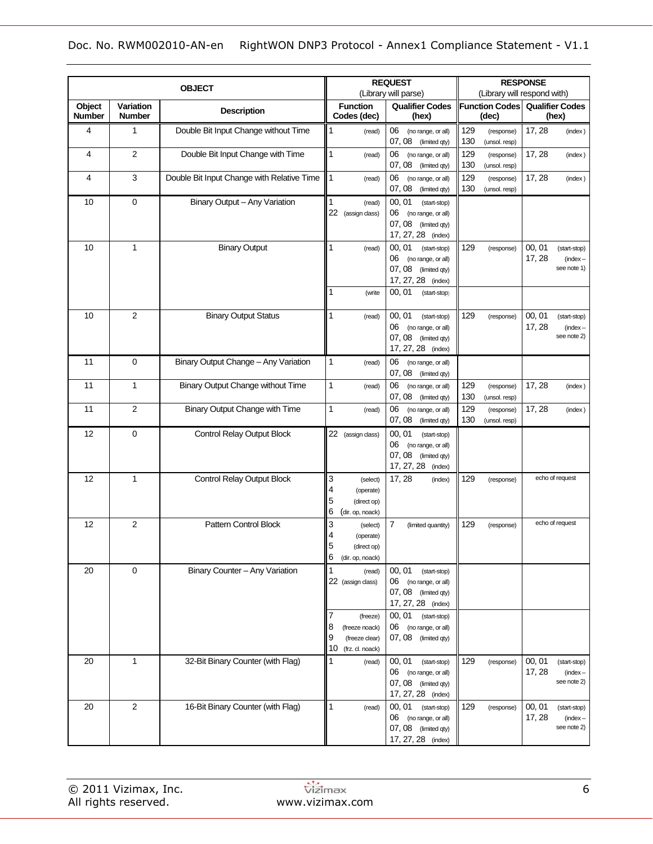|                         |                            |                                            |                                                                                     | <b>REQUEST</b>                                                                                                                                   |                                           | <b>RESPONSE</b>                                               |
|-------------------------|----------------------------|--------------------------------------------|-------------------------------------------------------------------------------------|--------------------------------------------------------------------------------------------------------------------------------------------------|-------------------------------------------|---------------------------------------------------------------|
|                         |                            | <b>OBJECT</b>                              |                                                                                     | (Library will parse)                                                                                                                             |                                           | (Library will respond with)                                   |
| Object<br><b>Number</b> | Variation<br><b>Number</b> | <b>Description</b>                         | <b>Function</b><br>Codes (dec)                                                      | <b>Qualifier Codes</b><br>(hex)                                                                                                                  | <b>Function Codes</b><br>(dec)            | <b>Qualifier Codes</b><br>(hex)                               |
| 4                       | 1                          | Double Bit Input Change without Time       | 1<br>(read)                                                                         | 06<br>(no range, or all)<br>07, 08 (limited qty)                                                                                                 | 129<br>(response)<br>130<br>(unsol. resp) | 17, 28<br>(index)                                             |
| 4                       | $\overline{2}$             | Double Bit Input Change with Time          | $\mathbf{1}$<br>(read)                                                              | 06<br>(no range, or all)<br>07, 08<br>(limited qty)                                                                                              | 129<br>(response)<br>130<br>(unsol. resp) | 17, 28<br>(index)                                             |
| 4                       | 3                          | Double Bit Input Change with Relative Time | 1<br>(read)                                                                         | 06<br>(no range, or all)<br>07, 08<br>(limited qty)                                                                                              | 129<br>(response)<br>130<br>(unsol. resp) | 17, 28<br>(index)                                             |
| 10                      | 0                          | Binary Output - Any Variation              | $\mathbf{1}$<br>(read)<br>22 (assign class)                                         | 00, 01<br>(start-stop)<br>06<br>(no range, or all)<br>07,08<br>(limited qty)<br>17, 27, 28 (index)                                               |                                           |                                                               |
| 10                      | 1                          | <b>Binary Output</b>                       | 1<br>(read)<br>1<br>(write                                                          | 00, 01<br>(start-stop)<br>06<br>(no range, or all)<br>07,08<br>(limited qty)<br>17, 27, 28 (index)<br>00, 01<br>(start-stop)                     | 129<br>(response)                         | 00, 01<br>(start-stop)<br>17, 28<br>$(index -$<br>see note 1) |
| 10                      | $\overline{2}$             | <b>Binary Output Status</b>                | $\mathbf{1}$<br>(read)                                                              | 00, 01<br>(start-stop)<br>06<br>(no range, or all)<br>07, 08<br>(limited qty)<br>17, 27, 28 (index)                                              | 129<br>(response)                         | 00, 01<br>(start-stop)<br>17.28<br>$(index -$<br>see note 2)  |
| 11                      | 0                          | Binary Output Change - Any Variation       | 1<br>(read)                                                                         | 06<br>(no range, or all)<br>07, 08<br>(limited qty)                                                                                              |                                           |                                                               |
| 11                      | 1                          | Binary Output Change without Time          | $\mathbf{1}$<br>(read)                                                              | 06<br>(no range, or all)<br>07, 08<br>(limited qty)                                                                                              | 129<br>(response)<br>130<br>(unsol. resp) | 17, 28<br>(index)                                             |
| 11                      | $\overline{2}$             | Binary Output Change with Time             | $\mathbf{1}$<br>(read)                                                              | 06<br>(no range, or all)<br>07,08<br>(limited qty)                                                                                               | 129<br>(response)<br>130<br>(unsol. resp) | 17, 28<br>(index)                                             |
| 12                      | 0                          | Control Relay Output Block                 | 22 (assign class)                                                                   | 00, 01<br>(start-stop)<br>06<br>(no range, or all)<br>07,08<br>(limited qty)<br>17, 27, 28<br>(index)                                            |                                           |                                                               |
| 12                      | 1                          | <b>Control Relay Output Block</b>          | 3<br>(select)<br>4<br>(operate)<br>5<br>(direct op)<br>6<br>(dir. op, noack)        | 17, 28<br>(index)                                                                                                                                | 129<br>(response)                         | echo of request                                               |
| 12                      | $\overline{2}$             | Pattern Control Block                      | 3<br>(select)<br>4<br>(operate)<br>5<br>(direct op)<br>6<br>(dir. op, noack)        | 7<br>(limited quantity)                                                                                                                          | 129<br>(response)                         | echo of request                                               |
| 20                      | 0                          | Binary Counter - Any Variation             | $\mathbf{1}$<br>(read)<br>22 (assign class)<br>7<br>(freeze)<br>8<br>(freeze noack) | 00, 01<br>(start-stop)<br>06 (no range, or all)<br>07, 08 (limited qty)<br>17, 27, 28 (index)<br>00, 01<br>(start-stop)<br>06 (no range, or all) |                                           |                                                               |
|                         |                            |                                            | 9<br>(freeze clear)<br>10<br>(frz. cl. noack)                                       | 07, 08 (limited qty)                                                                                                                             |                                           |                                                               |
| 20                      | 1                          | 32-Bit Binary Counter (with Flag)          | 1<br>(read)                                                                         | 00, 01<br>(start-stop)<br>06 (no range, or all)<br>07, 08 (limited qty)<br>17, 27, 28 (index)                                                    | 129<br>(response)                         | 00, 01<br>(start-stop)<br>17, 28<br>$(index -$<br>see note 2) |
| 20                      | 2                          | 16-Bit Binary Counter (with Flag)          | 1<br>(read)                                                                         | 00, 01<br>(start-stop)<br>06 (no range, or all)<br>07, 08 (limited qty)<br>17, 27, 28 (index)                                                    | 129<br>(response)                         | 00, 01<br>(start-stop)<br>17, 28<br>$(index -$<br>see note 2) |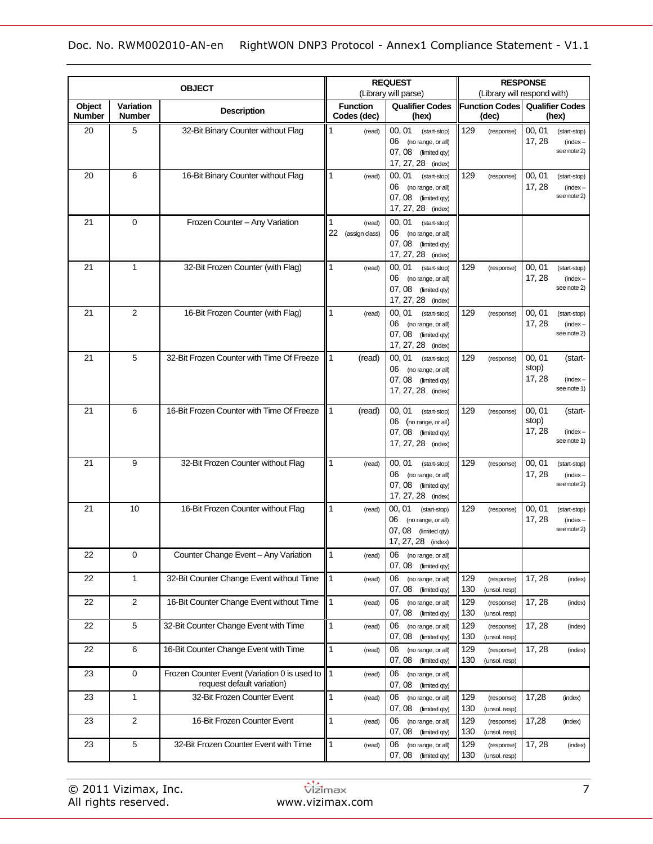|                  |                            | <b>OBJECT</b>                                                              |              |                                | <b>REQUEST</b>                                                                                   |                                | <b>RESPONSE</b><br>(Library will respond with) |                           |                                           |  |
|------------------|----------------------------|----------------------------------------------------------------------------|--------------|--------------------------------|--------------------------------------------------------------------------------------------------|--------------------------------|------------------------------------------------|---------------------------|-------------------------------------------|--|
| Object<br>Number | Variation<br><b>Number</b> | <b>Description</b>                                                         |              | <b>Function</b><br>Codes (dec) | (Library will parse)<br><b>Qualifier Codes</b><br>(hex)                                          | <b>Function Codes</b><br>(dec) |                                                |                           | <b>Qualifier Codes</b><br>(hex)           |  |
| 20               | 5                          | 32-Bit Binary Counter without Flag                                         | 1            | (read)                         | 00.01<br>(start-stop)<br>06 (no range, or all)<br>07, 08 (limited qty)<br>17, 27, 28 (index)     | 129                            | (response)                                     | 00, 01<br>17, 28          | (start-stop)<br>$(index -$<br>see note 2) |  |
| 20               | 6                          | 16-Bit Binary Counter without Flag                                         | 1            | (read)                         | 00, 01<br>(start-stop)<br>06 (no range, or all)<br>07, 08 (limited qty)<br>17, 27, 28 (index)    | 129                            | (response)                                     | 00, 01<br>17, 28          | (start-stop)<br>$(index -$<br>see note 2) |  |
| 21               | 0                          | Frozen Counter - Any Variation                                             | 1            | (read)<br>22 (assign class)    | 00, 01 (start-stop)<br>06 (no range, or all)<br>07, 08 (limited qty)<br>17, 27, 28 (index)       |                                |                                                |                           |                                           |  |
| 21               | 1                          | 32-Bit Frozen Counter (with Flag)                                          | $\mathbf{1}$ | (read)                         | 00, 01<br>(start-stop)<br>06 (no range, or all)<br>07, 08 (limited qty)<br>17, 27, 28 (index)    | 129                            | (response)                                     | 00, 01<br>17, 28          | (start-stop)<br>$(index -$<br>see note 2) |  |
| 21               | $\overline{2}$             | 16-Bit Frozen Counter (with Flag)                                          | 1            | (read)                         | 00, 01<br>(start-stop)<br>06 (no range, or all)<br>07, 08 (limited qty)<br>17, 27, 28 (index)    | 129                            | (response)                                     | 00, 01<br>17, 28          | (start-stop)<br>$(index -$<br>see note 2) |  |
| 21               | 5                          | 32-Bit Frozen Counter with Time Of Freeze                                  | 1            | (read)                         | 00, 01<br>(start-stop)<br>06<br>(no range, or all)<br>07, 08 (limited qty)<br>17, 27, 28 (index) | 129                            | (response)                                     | 00, 01<br>stop)<br>17, 28 | (start-<br>$(index -$<br>see note 1)      |  |
| 21               | 6                          | 16-Bit Frozen Counter with Time Of Freeze                                  | 1            | (read)                         | 00, 01 (start-stop)<br>06 (no range, or all)<br>07, 08 (limited qty)<br>17, 27, 28 (index)       | 129                            | (response)                                     | 00, 01<br>stop)<br>17, 28 | (start-<br>$(index -$<br>see note 1)      |  |
| 21               | 9                          | 32-Bit Frozen Counter without Flag                                         | 1            | (read)                         | 00, 01<br>(start-stop)<br>06 (no range, or all)<br>07, 08 (limited qty)<br>17, 27, 28 (index)    | 129                            | (response)                                     | 00, 01<br>17, 28          | (start-stop)<br>$(index -$<br>see note 2) |  |
| 21               | 10                         | 16-Bit Frozen Counter without Flag                                         | 1            | (read)                         | 00, 01<br>(start-stop)<br>06<br>(no range, or all)<br>07, 08 (limited qty)<br>17, 27, 28 (index) | 129                            | (response)                                     | 00, 01<br>17, 28          | (start-stop)<br>$(index -$<br>see note 2) |  |
| 22               | $\mathbf 0$                | Counter Change Event - Any Variation                                       | $\mathbf{1}$ | (read)                         | 06<br>(no range, or all)<br>07, 08 (limited qty)                                                 |                                |                                                |                           |                                           |  |
| 22               | 1                          | 32-Bit Counter Change Event without Time                                   | $\vert$ 1    | (read)                         | 06<br>(no range, or all)<br>07, 08 (limited qty)                                                 | 129<br>130                     | (response)<br>(unsol. resp)                    | 17, 28                    | (index)                                   |  |
| 22               | $\sqrt{2}$                 | 16-Bit Counter Change Event without Time                                   | $\vert$ 1    | (read)                         | 06<br>(no range, or all)<br>07, 08 (limited qty)                                                 | 129<br>130                     | (response)<br>(unsol. resp)                    | 17, 28                    | (index)                                   |  |
| 22               | $\sqrt{5}$                 | 32-Bit Counter Change Event with Time                                      | 1            | (read)                         | 06<br>(no range, or all)<br>07, 08 (limited qty)                                                 | 129<br>130                     | (response)<br>(unsol. resp)                    | 17, 28                    | (index)                                   |  |
| 22               | 6                          | 16-Bit Counter Change Event with Time                                      | 1            | (read)                         | 06<br>(no range, or all)<br>07, 08 (limited qty)                                                 | 129<br>130                     | (response)<br>(unsol. resp)                    | 17, 28                    | (index)                                   |  |
| 23               | $\pmb{0}$                  | Frozen Counter Event (Variation 0 is used to<br>request default variation) | ∥1           | (read)                         | 06<br>(no range, or all)<br>07, 08 (limited qty)                                                 |                                |                                                |                           |                                           |  |
| 23               | 1                          | 32-Bit Frozen Counter Event                                                | 1            | (read)                         | 06<br>(no range, or all)<br>07, 08 (limited qty)                                                 | 129<br>130                     | (response)<br>(unsol. resp)                    | 17,28                     | (index)                                   |  |
| 23               | $\overline{2}$             | 16-Bit Frozen Counter Event                                                | 1            | (read)                         | 06<br>(no range, or all)<br>07, 08 (limited qty)                                                 | 129<br>130                     | (response)<br>(unsol. resp)                    | 17,28                     | (index)                                   |  |
| 23               | $\sqrt{5}$                 | 32-Bit Frozen Counter Event with Time                                      | $\mathbf{1}$ | (read)                         | 06<br>(no range, or all)<br>07, 08 (limited qty)                                                 | 129<br>130                     | (response)<br>(unsol. resp)                    | 17, 28                    | (index)                                   |  |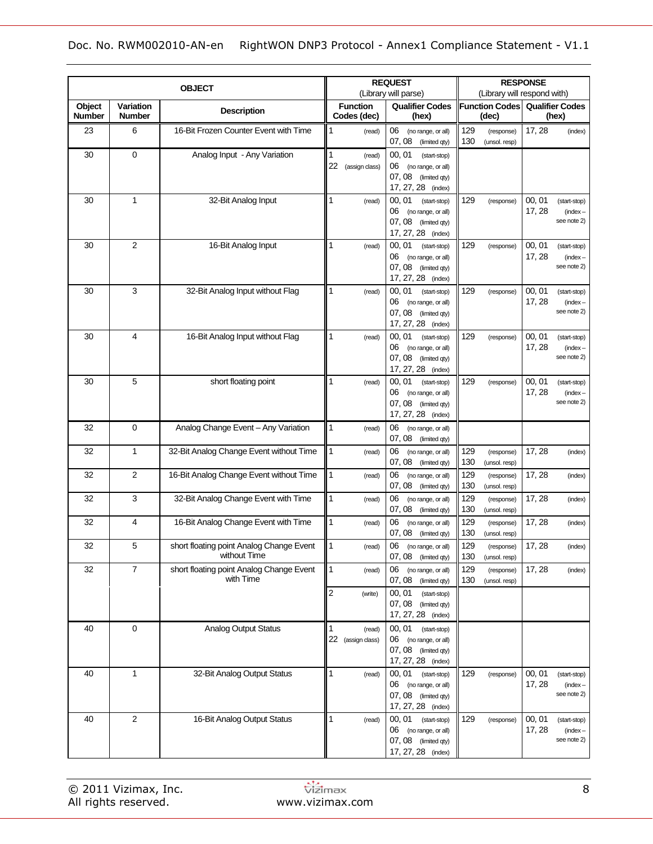| <b>OBJECT</b>    |                                   |                                                          |                                     | <b>REQUEST</b>                                                                                      | <b>RESPONSE</b>                           |                                                               |  |  |
|------------------|-----------------------------------|----------------------------------------------------------|-------------------------------------|-----------------------------------------------------------------------------------------------------|-------------------------------------------|---------------------------------------------------------------|--|--|
|                  |                                   |                                                          | (Library will parse)                |                                                                                                     | (Library will respond with)               |                                                               |  |  |
| Object<br>Number | <b>Variation</b><br><b>Number</b> | <b>Description</b>                                       | <b>Function</b><br>Codes (dec)      | <b>Qualifier Codes</b><br>(hex)                                                                     | <b>Function Codes</b><br>(dec)            | <b>Qualifier Codes</b><br>(hex)                               |  |  |
| 23               | 6                                 | 16-Bit Frozen Counter Event with Time                    | 1<br>(read)                         | 06<br>(no range, or all)<br>07, 08<br>(limited qty)                                                 | 129<br>(response)<br>130<br>(unsol. resp) | 17, 28<br>(index)                                             |  |  |
| 30               | $\mathbf 0$                       | Analog Input - Any Variation                             | 1<br>(read)<br>22<br>(assign class) | 00, 01<br>(start-stop)<br>06<br>(no range, or all)<br>07, 08<br>(limited qty)<br>17, 27, 28 (index) |                                           |                                                               |  |  |
| 30               | 1                                 | 32-Bit Analog Input                                      | 1<br>(read)                         | 00, 01<br>(start-stop)<br>06<br>(no range, or all)<br>07,08<br>(limited qty)<br>17, 27, 28 (index)  | 129<br>(response)                         | 00, 01<br>(start-stop)<br>17, 28<br>$(index -$<br>see note 2) |  |  |
| 30               | 2                                 | 16-Bit Analog Input                                      | 1<br>(read)                         | 00, 01<br>(start-stop)<br>06<br>(no range, or all)<br>07,08<br>(limited qty)<br>17, 27, 28 (index)  | 129<br>(response)                         | 00, 01<br>(start-stop)<br>17, 28<br>$(index -$<br>see note 2) |  |  |
| 30               | 3                                 | 32-Bit Analog Input without Flag                         | 1<br>(read)                         | 00.01<br>(start-stop)<br>06<br>(no range, or all)<br>07, 08<br>(limited qty)<br>17, 27, 28 (index)  | 129<br>(response)                         | 00, 01<br>(start-stop)<br>17, 28<br>$(index -$<br>see note 2) |  |  |
| 30               | 4                                 | 16-Bit Analog Input without Flag                         | 1<br>(read)                         | 00, 01<br>(start-stop)<br>06<br>(no range, or all)<br>07, 08<br>(limited qty)<br>17, 27, 28 (index) | 129<br>(response)                         | 00, 01<br>(start-stop)<br>17, 28<br>$(index -$<br>see note 2) |  |  |
| 30               | 5                                 | short floating point                                     | 1<br>(read)                         | 00, 01<br>(start-stop)<br>06<br>(no range, or all)<br>07, 08<br>(limited qty)<br>17, 27, 28 (index) | 129<br>(response)                         | 00, 01<br>(start-stop)<br>17, 28<br>$(index -$<br>see note 2) |  |  |
| 32               | 0                                 | Analog Change Event - Any Variation                      | 1<br>(read)                         | 06<br>(no range, or all)<br>07, 08 (limited qty)                                                    |                                           |                                                               |  |  |
| 32               | $\mathbf{1}$                      | 32-Bit Analog Change Event without Time                  | $\mathbf{1}$<br>(read)              | 06<br>(no range, or all)<br>07, 08 (limited qty)                                                    | 129<br>(response)<br>130<br>(unsol. resp) | 17, 28<br>(index)                                             |  |  |
| 32               | $\overline{2}$                    | 16-Bit Analog Change Event without Time                  | 1<br>(read)                         | 06<br>(no range, or all)<br>07, 08<br>(limited qty)                                                 | 129<br>(response)<br>130<br>(unsol. resp) | 17, 28<br>(index)                                             |  |  |
| 32               | 3                                 | 32-Bit Analog Change Event with Time                     | 1<br>(read)                         | 06<br>(no range, or all)<br>07, 08<br>(limited qty)                                                 | 129<br>(response)<br>130<br>(unsol. resp) | 17, 28<br>(index)                                             |  |  |
| 32               | 4                                 | 16-Bit Analog Change Event with Time                     | $\mathbf{1}$<br>(read)              | 06<br>(no range, or all)<br>07, 08 (limited qty)                                                    | 129<br>(response)<br>130<br>(unsol. resp) | 17, 28<br>(index)                                             |  |  |
| 32               | 5                                 | short floating point Analog Change Event<br>without Time | 1<br>(read)                         | 06 (no range, or all)<br>07, 08 (limited qty)                                                       | 129<br>(response)<br>130<br>(unsol. resp) | 17, 28<br>(index)                                             |  |  |
| 32               | $\boldsymbol{7}$                  | short floating point Analog Change Event<br>with Time    | 1<br>(read)                         | 06 (no range, or all)<br>07, 08 (limited qty)                                                       | 129<br>(response)<br>130<br>(unsol. resp) | 17, 28<br>(index)                                             |  |  |
|                  |                                   |                                                          | 2<br>(write)                        | 00, 01<br>(start-stop)<br>07, 08<br>(limited qty)<br>17, 27, 28 (index)                             |                                           |                                                               |  |  |
| 40               | $\pmb{0}$                         | <b>Analog Output Status</b>                              | 1<br>(read)<br>22 (assign class)    | 00, 01<br>(start-stop)<br>06 (no range, or all)<br>07, 08 (limited qty)<br>17, 27, 28 (index)       |                                           |                                                               |  |  |
| 40               | $\mathbf{1}$                      | 32-Bit Analog Output Status                              | 1<br>(read)                         | 00, 01 (start-stop)<br>06 (no range, or all)<br>07, 08 (limited qty)<br>17, 27, 28 (index)          | 129<br>(response)                         | 00, 01<br>(start-stop)<br>17, 28<br>$(index -$<br>see note 2) |  |  |
| 40               | $\sqrt{2}$                        | 16-Bit Analog Output Status                              | 1<br>(read)                         | 00, 01 (start-stop)<br>06 (no range, or all)<br>07, 08 (limited qty)<br>17, 27, 28 (index)          | 129<br>(response)                         | 00, 01<br>(start-stop)<br>17, 28<br>$(index -$<br>see note 2) |  |  |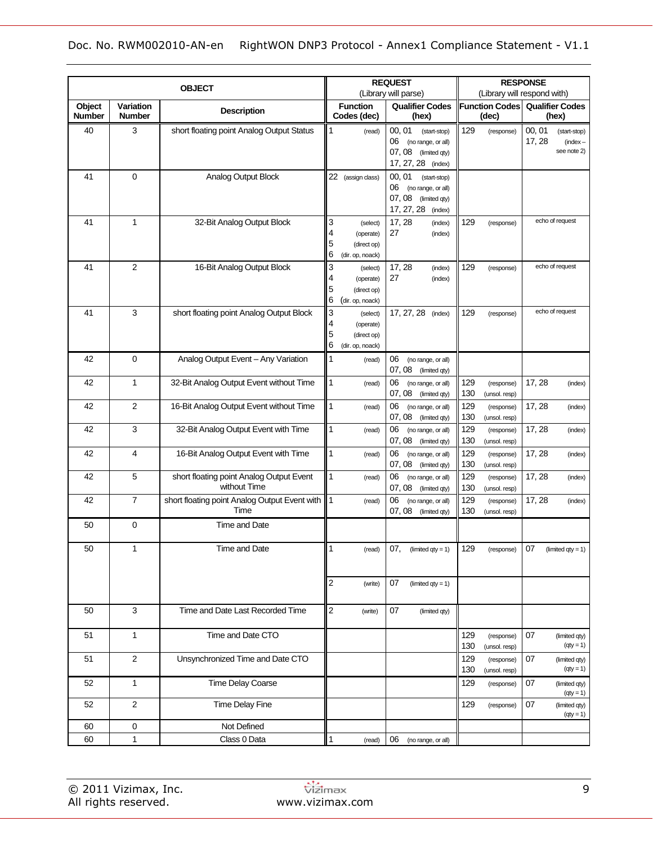|                  |                                   | <b>OBJECT</b>                                            |                                                                              | <b>REQUEST</b>                                                                                         | <b>RESPONSE</b>                           |                                                               |  |  |
|------------------|-----------------------------------|----------------------------------------------------------|------------------------------------------------------------------------------|--------------------------------------------------------------------------------------------------------|-------------------------------------------|---------------------------------------------------------------|--|--|
|                  |                                   |                                                          |                                                                              | (Library will parse)                                                                                   |                                           | (Library will respond with)                                   |  |  |
| Object<br>Number | <b>Variation</b><br><b>Number</b> | <b>Description</b>                                       | <b>Function</b><br>Codes (dec)                                               | <b>Qualifier Codes</b><br>(hex)                                                                        | <b>Function Codes</b><br>(dec)            | <b>Qualifier Codes</b><br>(hex)                               |  |  |
| 40               | 3                                 | short floating point Analog Output Status                | 1<br>(read)                                                                  | 00.01<br>(start-stop)<br>06<br>(no range, or all)<br>07, 08<br>(limited qty)<br>17, 27, 28 (index)     | 129<br>(response)                         | 00, 01<br>(start-stop)<br>17, 28<br>$(index -$<br>see note 2) |  |  |
| 41               | $\mathbf 0$                       | <b>Analog Output Block</b>                               | 22 (assign class)                                                            | 00, 01<br>(start-stop)<br>06<br>(no range, or all)<br>07, 08<br>(limited qty)<br>17, 27, 28<br>(index) |                                           |                                                               |  |  |
| 41               | $\mathbf{1}$                      | 32-Bit Analog Output Block                               | 3<br>(select)<br>4<br>(operate)<br>5<br>(direct op)<br>6<br>(dir. op, noack) | 17, 28<br>(index)<br>27<br>(index)                                                                     | 129<br>(response)                         | echo of request                                               |  |  |
| 41               | $\overline{2}$                    | 16-Bit Analog Output Block                               | 3<br>(select)<br>4<br>(operate)<br>5<br>(direct op)<br>6<br>(dir. op, noack) | 17, 28<br>(index)<br>27<br>(index)                                                                     | 129<br>(response)                         | echo of request                                               |  |  |
| 41               | 3                                 | short floating point Analog Output Block                 | 3<br>(select)<br>4<br>(operate)<br>5<br>(direct op)<br>6<br>(dir. op, noack) | 17, 27, 28<br>(index)                                                                                  | 129<br>(response)                         | echo of request                                               |  |  |
| 42               | $\mathbf 0$                       | Analog Output Event - Any Variation                      | $\mathbf{1}$<br>(read)                                                       | 06<br>(no range, or all)<br>07, 08<br>(limited qty)                                                    |                                           |                                                               |  |  |
| 42               | 1                                 | 32-Bit Analog Output Event without Time                  | $\mathbf{1}$<br>(read)                                                       | 06<br>(no range, or all)<br>07, 08<br>(limited qty)                                                    | 129<br>(response)<br>130<br>(unsol. resp) | 17, 28<br>(index)                                             |  |  |
| 42               | $\overline{2}$                    | 16-Bit Analog Output Event without Time                  | $\mathbf{1}$<br>(read)                                                       | 06<br>(no range, or all)<br>07, 08<br>(limited qty)                                                    | 129<br>(response)<br>130<br>(unsol. resp) | 17, 28<br>(index)                                             |  |  |
| 42               | 3                                 | 32-Bit Analog Output Event with Time                     | $\mathbf{1}$<br>(read)                                                       | 06<br>(no range, or all)<br>07, 08<br>(limited qty)                                                    | 129<br>(response)<br>130<br>(unsol. resp) | 17, 28<br>(index)                                             |  |  |
| 42               | 4                                 | 16-Bit Analog Output Event with Time                     | $\mathbf{1}$<br>(read)                                                       | 06<br>(no range, or all)<br>07, 08<br>(limited qty)                                                    | 129<br>(response)<br>130<br>(unsol. resp) | 17, 28<br>(index)                                             |  |  |
| 42               | 5                                 | short floating point Analog Output Event<br>without Time | $\mathbf{1}$<br>(read)                                                       | 06<br>(no range, or all)<br>07, 08<br>(limited qty)                                                    | 129<br>(response)<br>130<br>(unsol. resp) | 17, 28<br>(index)                                             |  |  |
| 42               | 7                                 | short floating point Analog Output Event with<br>Time    | 1<br>(read)                                                                  | 06<br>(no range, or all)<br>07, 08<br>(limited qty)                                                    | 129<br>(response)<br>130<br>(unsol. resp) | 17, 28<br>(index)                                             |  |  |
| 50               | $\mathbf 0$                       | Time and Date                                            |                                                                              |                                                                                                        |                                           |                                                               |  |  |
| 50               | 1                                 | Time and Date                                            | $\mathbf{1}$<br>(read)                                                       | $07,$ (limited qty = 1)                                                                                | 129<br>(response)                         | 07<br>(limited $qty = 1$ )                                    |  |  |
|                  |                                   |                                                          | $\overline{c}$<br>(write)                                                    | 07<br>(limited $qty = 1$ )                                                                             |                                           |                                                               |  |  |
| 50               | 3                                 | Time and Date Last Recorded Time                         | $\overline{c}$<br>(write)                                                    | 07<br>(limited qty)                                                                                    |                                           |                                                               |  |  |
| 51               | $\mathbf{1}$                      | Time and Date CTO                                        |                                                                              |                                                                                                        | 129<br>(response)<br>130<br>(unsol. resp) | 07<br>(limited qty)<br>$(qty = 1)$                            |  |  |
| 51               | 2                                 | Unsynchronized Time and Date CTO                         |                                                                              |                                                                                                        | 129<br>(response)<br>130<br>(unsol. resp) | 07<br>(limited qty)<br>$(qty = 1)$                            |  |  |
| 52               | $\mathbf{1}$                      | <b>Time Delay Coarse</b>                                 |                                                                              |                                                                                                        | 129<br>(response)                         | 07<br>(limited qty)<br>$(qty = 1)$                            |  |  |
| 52               | 2                                 | <b>Time Delay Fine</b>                                   |                                                                              |                                                                                                        | 129<br>(response)                         | 07<br>(limited qty)<br>$(qty = 1)$                            |  |  |
| 60               | $\mathbf 0$                       | Not Defined                                              |                                                                              |                                                                                                        |                                           |                                                               |  |  |
| 60               | $\mathbf{1}$                      | Class 0 Data                                             | $\mathbf{1}$<br>(read)                                                       | 06<br>(no range, or all)                                                                               |                                           |                                                               |  |  |